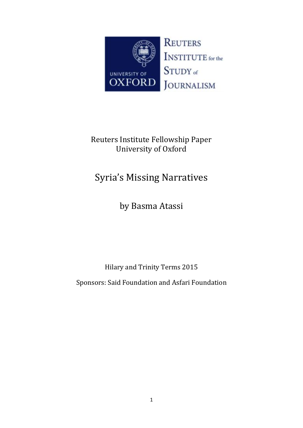

# Reuters Institute Fellowship Paper University of Oxford

# Syria's Missing Narratives

by Basma Atassi

Hilary and Trinity Terms 2015

Sponsors: Said Foundation and Asfari Foundation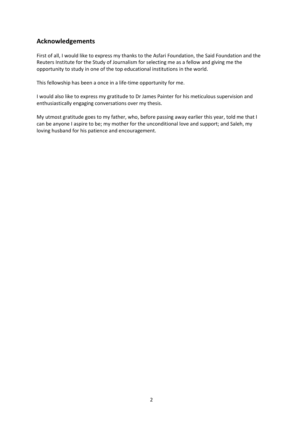# **Acknowledgements**

First of all, I would like to express my thanks to the Asfari Foundation, the Said Foundation and the Reuters Institute for the Study of Journalism for selecting me as a fellow and giving me the opportunity to study in one of the top educational institutions in the world.

This fellowship has been a once in a life-time opportunity for me.

I would also like to express my gratitude to Dr James Painter for his meticulous supervision and enthusiastically engaging conversations over my thesis.

My utmost gratitude goes to my father, who, before passing away earlier this year, told me that I can be anyone I aspire to be; my mother for the unconditional love and support; and Saleh, my loving husband for his patience and encouragement.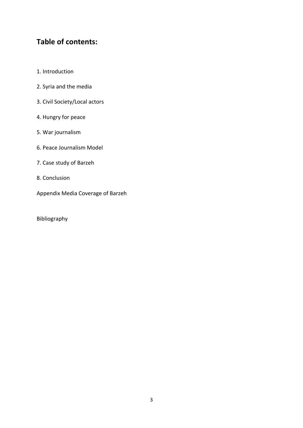# **Table of contents:**

- 1. [Introduction](https://docs.google.com/document/d/1J9VG09KHBLbvlTM6NR1W2B6qlBOzqCaf0kRKaIP4JKc/edit#heading=h.c933stw82sl7)
- 2. [Syria and the media](https://docs.google.com/document/d/1J9VG09KHBLbvlTM6NR1W2B6qlBOzqCaf0kRKaIP4JKc/edit#heading=h.fftnaygoeakz)
- 3. [Civil Society/Local actors](https://docs.google.com/document/d/1J9VG09KHBLbvlTM6NR1W2B6qlBOzqCaf0kRKaIP4JKc/edit#heading=h.f4kd4fudsap0)
- 4. [Hungry for peace](https://docs.google.com/document/d/1J9VG09KHBLbvlTM6NR1W2B6qlBOzqCaf0kRKaIP4JKc/edit#heading=h.6lws8s9y8mff)
- 5. [War journalism](https://docs.google.com/document/d/1J9VG09KHBLbvlTM6NR1W2B6qlBOzqCaf0kRKaIP4JKc/edit#heading=h.2dbbj5g45q25)
- 6. [Peace Journalism Model](https://docs.google.com/document/d/1J9VG09KHBLbvlTM6NR1W2B6qlBOzqCaf0kRKaIP4JKc/edit#heading=h.7j6rwgg92fas)
- 7. [Case study](https://docs.google.com/document/d/1J9VG09KHBLbvlTM6NR1W2B6qlBOzqCaf0kRKaIP4JKc/edit#heading=h.r23u55qb3mk) of Barzeh
- 8. [Conclusion](https://docs.google.com/document/d/1J9VG09KHBLbvlTM6NR1W2B6qlBOzqCaf0kRKaIP4JKc/edit#heading=h.ds8ayga7zc0q)
- Appendix Media Coverage of Barzeh

[Bibliography](https://docs.google.com/document/d/1J9VG09KHBLbvlTM6NR1W2B6qlBOzqCaf0kRKaIP4JKc/edit#heading=h.m8y7buyjonns)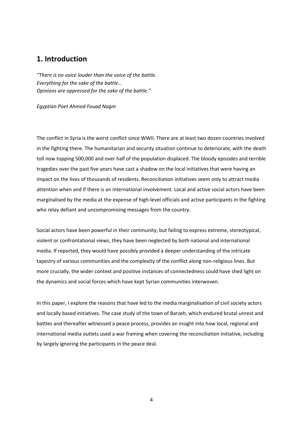## **1. Introduction**

*"There is no voice louder than the voice of the battle. Everything for the sake of the battle… Opinions are oppressed for the sake of the battle."* 

*Egyptian Poet Ahmed Fouad Nagm*

The conflict in Syria is the worst conflict since WWII. There are at least two dozen countries involved in the fighting there. The humanitarian and security situation continue to deteriorate, with the death toll now topping 500,000 and over half of the population displaced. The bloody episodes and terrible tragedies over the past five years have cast a shadow on the local initiatives that were having an impact on the lives of thousands of residents. Reconciliation initiatives seem only to attract media attention when and if there is an international involvement. Local and active social actors have been marginalised by the media at the expense of high-level officials and active participants in the fighting who relay defiant and uncompromising messages from the country.

Social actors have been powerful in their community, but failing to express extreme, stereotypical, violent or confrontational views, they have been neglected by both national and international media. If reported, they would have possibly provided a deeper understanding of the intricate tapestry of various communities and the complexity of the conflict along non-religious lines. But more crucially, the wider context and positive instances of connectedness could have shed light on the dynamics and social forces which have kept Syrian communities interwoven.

In this paper, I explore the reasons that have led to the media marginalisation of civil society actors and locally based initiatives. The case study of the town of Barzeh, which endured brutal unrest and battles and thereafter witnessed a peace process, provides an insight into how local, regional and international media outlets used a war framing when covering the reconciliation initiative, including by largely ignoring the participants in the peace deal.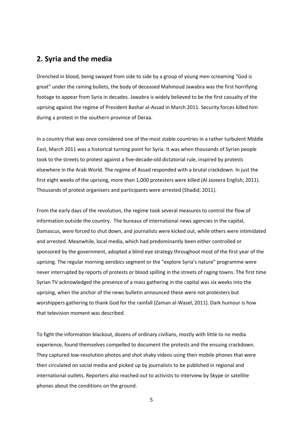## **2. Syria and the media**

Drenched in blood, being swayed from side to side by a group of young men screaming "God is great" under the raining bullets, the body of deceased Mahmoud Jawabra was the first horrifying footage to appear from Syria in decades. Jawabra is widely believed to be the first casualty of the uprising against the regime of President Bashar al-Assad in March 2011. Security forces killed him during a protest in the southern province of Deraa.

In a country that was once considered one of the most stable countries in a rather turbulent Middle East, March 2011 was a historical turning point for Syria. It was when thousands of Syrian people took to the streets to protest against a five-decade-old dictatorial rule, inspired by protests elsewhere in the Arab World. The regime of Assad responded with a brutal crackdown. In just the first eight weeks of the uprising, more than 1,000 protesters were killed (Al Jazeera English; 2011). Thousands of protest organisers and participants were arrested (Shadid; 2011).

From the early days of the revolution, the regime took several measures to control the flow of information outside the country. The bureaus of international news agencies in the capital, Damascus, were forced to shut down, and journalists were kicked out, while others were intimidated and arrested. Meanwhile, local media, which had predominantly been either controlled or sponsored by the government, adopted a blind eye strategy throughout most of the first year of the uprising. The regular morning aerobics segment or the "explore Syria's nature" programme were never interrupted by reports of protests or blood spilling in the streets of raging towns. The first time Syrian TV acknowledged the presence of a mass gathering in the capital was six weeks into the uprising, when the anchor of the news bulletin announced these were not protesters but worshippers gathering to thank God for the rainfall (Zaman al-Wasel, 2011). Dark humour is how that television moment was described.

To fight the information blackout, dozens of ordinary civilians, mostly with little to no media experience, found themselves compelled to document the protests and the ensuing crackdown. They captured low-resolution photos and shot shaky videos using their mobile phones that were then circulated on social media and picked up by journalists to be published in regional and international outlets. Reporters also reached out to activists to interview by Skype or satellite phones about the conditions on the ground.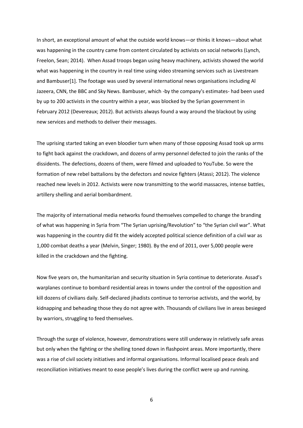In short, an exceptional amount of what the outside world knows—or thinks it knows—about what was happening in the country came from content circulated by activists on social networks (Lynch, Freelon, Sean; 2014). When Assad troops began using heavy machinery, activists showed the world what was happening in the country in real time using video streaming services such as Livestream and Bambuser[1]. The footage was used by several international news organisations including Al Jazeera, CNN, the BBC and Sky News. Bambuser, which -by the company's estimates- had been used by up to 200 activists in the country within a year, was blocked by the Syrian government in February 2012 (Devereaux; 2012). But activists always found a way around the blackout by using new services and methods to deliver their messages.

The uprising started taking an even bloodier turn when many of those opposing Assad took up arms to fight back against the crackdown, and dozens of army personnel defected to join the ranks of the dissidents. The defections, dozens of them, were filmed and uploaded to YouTube. So were the formation of new rebel battalions by the defectors and novice fighters (Atassi; 2012). The violence reached new levels in 2012. Activists were now transmitting to the world massacres, intense battles, artillery shelling and aerial bombardment.

The majority of international media networks found themselves compelled to change the branding of what was happening in Syria from "The Syrian uprising/Revolution" to "the Syrian civil war". What was happening in the country did fit the widely accepted political science definition of a civil war as 1,000 combat deaths a year (Melvin, Singer; 1980). By the end of 2011, over 5,000 people were killed in the crackdown and the fighting.

Now five years on, the humanitarian and security situation in Syria continue to deteriorate. Assad's warplanes continue to bombard residential areas in towns under the control of the opposition and kill dozens of civilians daily. Self-declared jihadists continue to terrorise activists, and the world, by kidnapping and beheading those they do not agree with. Thousands of civilians live in areas besieged by warriors, struggling to feed themselves.

Through the surge of violence, however, demonstrations were still underway in relatively safe areas but only when the fighting or the shelling toned down in flashpoint areas. More importantly, there was a rise of civil society initiatives and informal organisations. Informal localised peace deals and reconciliation initiatives meant to ease people's lives during the conflict were up and running.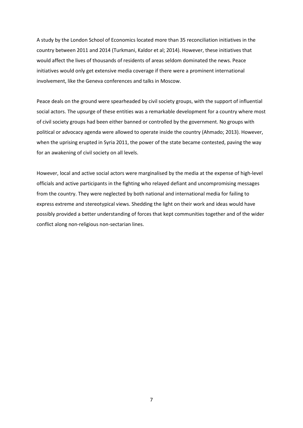A study by the London School of Economics located more than 35 reconciliation initiatives in the country between 2011 and 2014 (Turkmani, Kaldor et al; 2014). However, these initiatives that would affect the lives of thousands of residents of areas seldom dominated the news. Peace initiatives would only get extensive media coverage if there were a prominent international involvement, like the Geneva conferences and talks in Moscow.

Peace deals on the ground were spearheaded by civil society groups, with the support of influential social actors. The upsurge of these entities was a remarkable development for a country where most of civil society groups had been either banned or controlled by the government. No groups with political or advocacy agenda were allowed to operate inside the country (Ahmado; 2013). However, when the uprising erupted in Syria 2011, the power of the state became contested, paving the way for an awakening of civil society on all levels.

However, local and active social actors were marginalised by the media at the expense of high-level officials and active participants in the fighting who relayed defiant and uncompromising messages from the country. They were neglected by both national and international media for failing to express extreme and stereotypical views. Shedding the light on their work and ideas would have possibly provided a better understanding of forces that kept communities together and of the wider conflict along non-religious non-sectarian lines.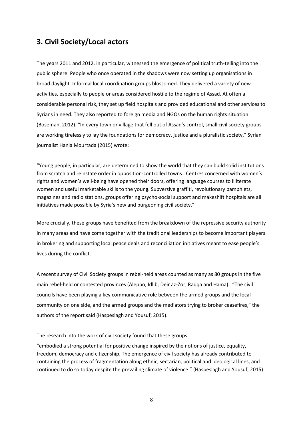# **3. Civil Society/Local actors**

The years 2011 and 2012, in particular, witnessed the emergence of political truth-telling into the public sphere. People who once operated in the shadows were now setting up organisations in broad daylight. Informal local coordination groups blossomed. They delivered a variety of new activities, especially to people or areas considered hostile to the regime of Assad. At often a considerable personal risk, they set up field hospitals and provided educational and other services to Syrians in need. They also reported to foreign media and NGOs on the human rights situation (Boseman, 2012). "In every town or village that fell out of Assad's control, small civil society groups are working tirelessly to lay the foundations for democracy, justice and a pluralistic society," Syrian journalist Hania Mourtada (2015) wrote:

"Young people, in particular, are determined to show the world that they can build solid institutions from scratch and reinstate order in opposition-controlled towns. Centres concerned with women's rights and women's well-being have opened their doors, offering language courses to illiterate women and useful marketable skills to the young. Subversive graffiti, revolutionary pamphlets, magazines and radio stations, groups offering psycho-social support and makeshift hospitals are all initiatives made possible by Syria's new and burgeoning civil society."

More crucially, these groups have benefited from the breakdown of the repressive security authority in many areas and have come together with the traditional leaderships to become important players in brokering and supporting local peace deals and reconciliation initiatives meant to ease people's lives during the conflict.

A recent survey of Civil Society groups in rebel-held areas counted as many as 80 groups in the five main rebel-held or contested provinces (Aleppo, Idlib, Deir az-Zor, Raqqa and Hama). "The civil councils have been playing a key communicative role between the armed groups and the local community on one side, and the armed groups and the mediators trying to broker ceasefires," the authors of the report said (Haspeslagh and Yousuf; 2015).

#### The research into the work of civil society found that these groups

"embodied a strong potential for positive change inspired by the notions of justice, equality, freedom, democracy and citizenship. The emergence of civil society has already contributed to containing the process of fragmentation along ethnic, sectarian, political and ideological lines, and continued to do so today despite the prevailing climate of violence." (Haspeslagh and Yousuf; 2015)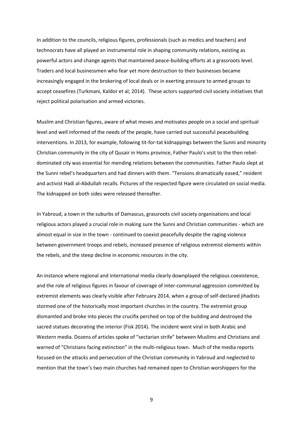In addition to the councils, religious figures, professionals (such as medics and teachers) and technocrats have all played an instrumental role in shaping community relations, existing as powerful actors and change agents that maintained peace-building efforts at a grassroots level. Traders and local businessmen who fear yet more destruction to their businesses became increasingly engaged in the brokering of local deals or in exerting pressure to armed groups to accept ceasefires (Turkmani, Kaldor et al; 2014). These actors supported civil society initiatives that reject political polarisation and armed victories.

Muslim and Christian figures, aware of what moves and motivates people on a social and spiritual level and well informed of the needs of the people, have carried out successful peacebuilding interventions. In 2013, for example, following tit-for-tat kidnappings between the Sunni and minority Christian community in the city of Qusair in Homs province, Father Paulo's visit to the then rebeldominated city was essential for mending relations between the communities. Father Paulo slept at the Sunni rebel's headquarters and had dinners with them. "Tensions dramatically eased," resident and activist Hadi al-Abdullah recalls. Pictures of the respected figure were circulated on social media. The kidnapped on both sides were released thereafter.

In Yabroud, a town in the suburbs of Damascus, grassroots civil society organisations and local religious actors played a crucial role in making sure the Sunni and Christian communities - which are almost equal in size in the town - continued to coexist peacefully despite the raging violence between government troops and rebels, increased presence of religious extremist elements within the rebels, and the steep decline in economic resources in the city.

An instance where regional and international media clearly downplayed the religious coexistence, and the role of religious figures in favour of coverage of inter-communal aggression committed by extremist elements was clearly visible after February 2014, when a group of self-declared jihadists stormed one of the historically most important churches in the country. The extremist group dismantled and broke into pieces the crucifix perched on top of the building and destroyed the sacred statues decorating the interior (Fisk 2014). The incident went viral in both Arabic and Western media. Dozens of articles spoke of "sectarian strife" between Muslims and Christians and warned of "Christians facing extinction" in the multi-religious town. Much of the media reports focused on the attacks and persecution of the Christian community in Yabroud and neglected to mention that the town's two main churches had remained open to Christian worshippers for the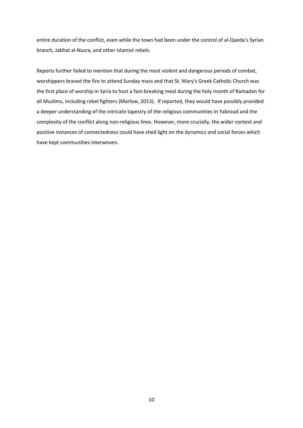entire duration of the conflict, even while the town had been under the control of al-Qaeda's Syrian branch, Jabhat al-Nusra, and other Islamist rebels.

Reports further failed to mention that during the most violent and dangerous periods of combat, worshippers braved the fire to attend Sunday mass and that St. Mary's Greek Catholic Church was the first place of worship in Syria to host a fast-breaking meal during the holy month of Ramadan for all Muslims, including rebel fighters (Marlow, 2013). If reported, they would have possibly provided a deeper understanding of the intricate tapestry of the religious communities in Yabroud and the complexity of the conflict along non-religious lines. However, more crucially, the wider context and positive instances of connectedness could have shed light on the dynamics and social forces which have kept communities interwoven.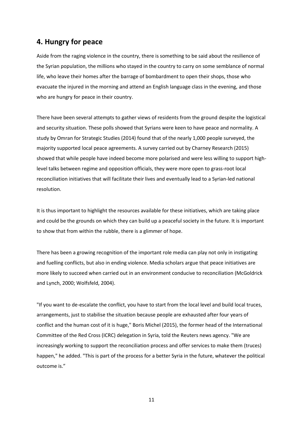# **4. Hungry for peace**

Aside from the raging violence in the country, there is something to be said about the resilience of the Syrian population, the millions who stayed in the country to carry on some semblance of normal life, who leave their homes after the barrage of bombardment to open their shops, those who evacuate the injured in the morning and attend an English language class in the evening, and those who are hungry for peace in their country.

There have been several attempts to gather views of residents from the ground despite the logistical and security situation. These polls showed that Syrians were keen to have peace and normality. A study by Omran for Strategic Studies (2014) found that of the nearly 1,000 people surveyed, the majority supported local peace agreements. A survey carried out by Charney Research (2015) showed that while people have indeed become more polarised and were less willing to support highlevel talks between regime and opposition officials, they were more open to grass-root local reconciliation initiatives that will facilitate their lives and eventually lead to a Syrian-led national resolution.

It is thus important to highlight the resources available for these initiatives, which are taking place and could be the grounds on which they can build up a peaceful society in the future. It is important to show that from within the rubble, there is a glimmer of hope.

There has been a growing recognition of the important role media can play not only in instigating and fuelling conflicts, but also in ending violence. Media scholars argue that peace initiatives are more likely to succeed when carried out in an environment conducive to reconciliation (McGoldrick and Lynch, 2000; Wolfsfeld, 2004).

"If you want to de-escalate the conflict, you have to start from the local level and build local truces, arrangements, just to stabilise the situation because people are exhausted after four years of conflict and the human cost of it is huge," Boris Michel (2015), the former head of the International Committee of the Red Cross (ICRC) delegation in Syria, told the Reuters news agency. "We are increasingly working to support the reconciliation process and offer services to make them (truces) happen," he added. "This is part of the process for a better Syria in the future, whatever the political outcome is."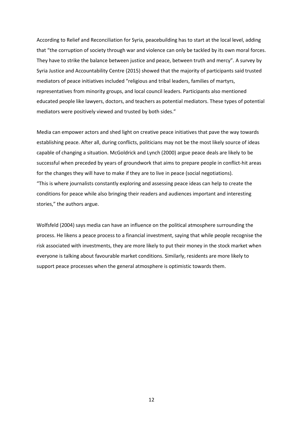According to Relief and Reconciliation for Syria, peacebuilding has to start at the local level, adding that "the corruption of society through war and violence can only be tackled by its own moral forces. They have to strike the balance between justice and peace, between truth and mercy". A survey by Syria Justice and Accountability Centre (2015) showed that the majority of participants said trusted mediators of peace initiatives included "religious and tribal leaders, families of martyrs, representatives from minority groups, and local council leaders. Participants also mentioned educated people like lawyers, doctors, and teachers as potential mediators. These types of potential mediators were positively viewed and trusted by both sides."

Media can empower actors and shed light on creative peace initiatives that pave the way towards establishing peace. After all, during conflicts, politicians may not be the most likely source of ideas capable of changing a situation. McGoldrick and Lynch (2000) argue peace deals are likely to be successful when preceded by years of groundwork that aims to prepare people in conflict-hit areas for the changes they will have to make if they are to live in peace (social negotiations). "This is where journalists constantly exploring and assessing peace ideas can help to create the conditions for peace while also bringing their readers and audiences important and interesting stories," the authors argue.

Wolfsfeld (2004) says media can have an influence on the political atmosphere surrounding the process. He likens a peace process to a financial investment, saying that while people recognise the risk associated with investments, they are more likely to put their money in the stock market when everyone is talking about favourable market conditions. Similarly, residents are more likely to support peace processes when the general atmosphere is optimistic towards them.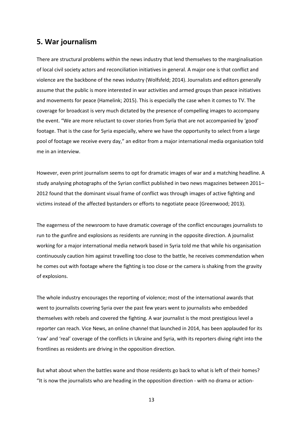### **5. War journalism**

There are structural problems within the news industry that lend themselves to the marginalisation of local civil society actors and reconciliation initiatives in general. A major one is that conflict and violence are the backbone of the news industry (Wolfsfeld; 2014). Journalists and editors generally assume that the public is more interested in war activities and armed groups than peace initiatives and movements for peace (Hamelink; 2015). This is especially the case when it comes to TV. The coverage for broadcast is very much dictated by the presence of compelling images to accompany the event. "We are more reluctant to cover stories from Syria that are not accompanied by 'good' footage. That is the case for Syria especially, where we have the opportunity to select from a large pool of footage we receive every day," an editor from a major international media organisation told me in an interview.

However, even print journalism seems to opt for dramatic images of war and a matching headline. A study analysing photographs of the Syrian conflict published in two news magazines between 2011– 2012 found that the dominant visual frame of conflict was through images of active fighting and victims instead of the affected bystanders or efforts to negotiate peace (Greenwood; 2013).

The eagerness of the newsroom to have dramatic coverage of the conflict encourages journalists to run to the gunfire and explosions as residents are running in the opposite direction. A journalist working for a major international media network based in Syria told me that while his organisation continuously caution him against travelling too close to the battle, he receives commendation when he comes out with footage where the fighting is too close or the camera is shaking from the gravity of explosions.

The whole industry encourages the reporting of violence; most of the international awards that went to journalists covering Syria over the past few years went to journalists who embedded themselves with rebels and covered the fighting. A war journalist is the most prestigious level a reporter can reach. Vice News, an online channel that launched in 2014, has been applauded for its 'raw' and 'real' coverage of the conflicts in Ukraine and Syria, with its reporters diving right into the frontlines as residents are driving in the opposition direction.

But what about when the battles wane and those residents go back to what is left of their homes? "It is now the journalists who are heading in the opposition direction - with no drama or action-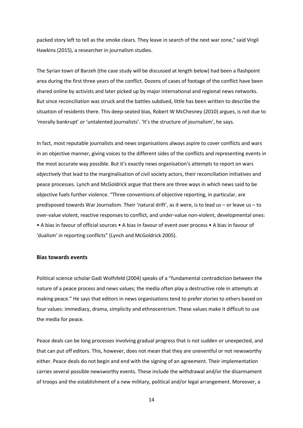packed story left to tell as the smoke clears. They leave in search of the next war zone," said Virgil Hawkins (2015), a researcher in journalism studies.

The Syrian town of Barzeh (the case study will be discussed at length below) had been a flashpoint area during the first three years of the conflict. Dozens of cases of footage of the conflict have been shared online by activists and later picked up by major international and regional news networks. But since reconciliation was struck and the battles subdued, little has been written to describe the situation of residents there. This deep-seated bias, Robert W McChesney (2010) argues, is not due to 'morally bankrupt' or 'untalented journalists'. 'It's the structure of journalism', he says.

In fact, most reputable journalists and news organisations always aspire to cover conflicts and wars in an objective manner, giving voices to the different sides of the conflicts and representing events in the most accurate way possible. But it's exactly news organisation's attempts to report on wars *objectively* that lead to the marginalisation of civil society actors, their reconciliation initiatives and peace processes. Lynch and McGoldrick argue that there are three ways in which news said to be objective fuels further violence. "Three conventions of objective reporting, in particular, are predisposed towards War Journalism. Their 'natural drift', as it were, is to lead us – or leave us – to over-value violent, reactive responses to conflict, and under-value non-violent, developmental ones: • A bias in favour of official sources • A bias in favour of event over process • A bias in favour of 'dualism' in reporting conflicts" (Lynch and McGoldrick 2005).

#### **Bias towards events**

Political science scholar Gadi Wolfsfeld (2004) speaks of a "fundamental contradiction between the nature of a peace process and news values; the media often play a destructive role in attempts at making peace." He says that editors in news organisations tend to prefer stories to others based on four values: immediacy, drama, simplicity and ethnocentrism. These values make it difficult to use the media for peace.

Peace deals can be long processes involving gradual progress that is not sudden or unexpected, and that can put off editors. This, however, does not mean that they are uneventful or not newsworthy either. Peace deals do not begin and end with the signing of an agreement. Their implementation carries several possible newsworthy events. These include the withdrawal and/or the disarmament of troops and the establishment of a new military, political and/or legal arrangement. Moreover, a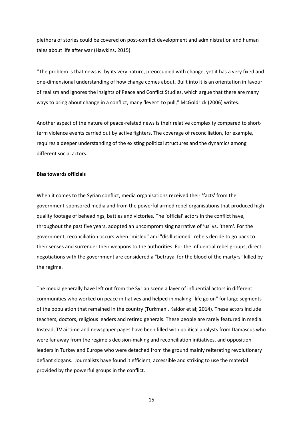plethora of stories could be covered on post-conflict development and administration and human tales about life after war (Hawkins, 2015).

"The problem is that news is, by its very nature, preoccupied with change, yet it has a very fixed and one-dimensional understanding of how change comes about. Built into it is an orientation in favour of realism and ignores the insights of Peace and Conflict Studies, which argue that there are many ways to bring about change in a conflict, many 'levers' to pull," McGoldrick (2006) writes.

Another aspect of the nature of peace-related news is their relative complexity compared to shortterm violence events carried out by active fighters. The coverage of reconciliation, for example, requires a deeper understanding of the existing political structures and the dynamics among different social actors.

#### **Bias towards officials**

When it comes to the Syrian conflict, media organisations received their 'facts' from the government-sponsored media and from the powerful armed rebel organisations that produced highquality footage of beheadings, battles and victories. The 'official' actors in the conflict have, throughout the past five years, adopted an uncompromising narrative of 'us' vs. 'them'. For the government, reconciliation occurs when "misled" and "disillusioned" rebels decide to go back to their senses and surrender their weapons to the authorities. For the influential rebel groups, direct negotiations with the government are considered a "betrayal for the blood of the martyrs" killed by the regime.

The media generally have left out from the Syrian scene a layer of influential actors in different communities who worked on peace initiatives and helped in making "life go on" for large segments of the population that remained in the country (Turkmani, Kaldor et al; 2014). These actors include teachers, doctors, religious leaders and retired generals. These people are rarely featured in media. Instead, TV airtime and newspaper pages have been filled with political analysts from Damascus who were far away from the regime's decision-making and reconciliation initiatives, and opposition leaders in Turkey and Europe who were detached from the ground mainly reiterating revolutionary defiant slogans. Journalists have found it efficient, accessible and striking to use the material provided by the powerful groups in the conflict.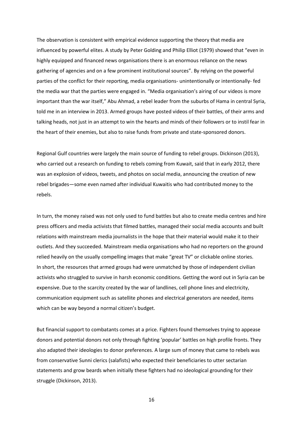The observation is consistent with empirical evidence supporting the theory that media are influenced by powerful elites. A study by Peter Golding and Philip Elliot (1979) showed that "even in highly equipped and financed news organisations there is an enormous reliance on the news gathering of agencies and on a few prominent institutional sources". By relying on the powerful parties of the conflict for their reporting, media organisations- unintentionally or intentionally- fed the media war that the parties were engaged in. "Media organisation's airing of our videos is more important than the war itself," Abu Ahmad, a rebel leader from the suburbs of Hama in central Syria, told me in an interview in 2013. Armed groups have posted videos of their battles, of their arms and talking heads, not just in an attempt to win the hearts and minds of their followers or to instil fear in the heart of their enemies, but also to raise funds from private and state-sponsored donors.

Regional Gulf countries were largely the main source of funding to rebel groups. Dickinson (2013), who carried out a research on funding to rebels coming from Kuwait, said that in early 2012, there was an explosion of videos, tweets, and photos on social media, announcing the creation of new rebel brigades—some even named after individual Kuwaitis who had contributed money to the rebels.

In turn, the money raised was not only used to fund battles but also to create media centres and hire press officers and media activists that filmed battles, managed their social media accounts and built relations with mainstream media journalists in the hope that their material would make it to their outlets. And they succeeded. Mainstream media organisations who had no reporters on the ground relied heavily on the usually compelling images that make "great TV" or clickable online stories. In short, the resources that armed groups had were unmatched by those of independent civilian activists who struggled to survive in harsh economic conditions. Getting the word out in Syria can be expensive. Due to the scarcity created by the war of landlines, cell phone lines and electricity, communication equipment such as satellite phones and electrical generators are needed, items which can be way beyond a normal citizen's budget.

But financial support to combatants comes at a price. Fighters found themselves trying to appease donors and potential donors not only through fighting 'popular' battles on high profile fronts. They also adapted their ideologies to donor preferences. A large sum of money that came to rebels was from conservative Sunni clerics (salafists) who expected their beneficiaries to utter sectarian statements and grow beards when initially these fighters had no ideological grounding for their struggle (Dickinson, 2013).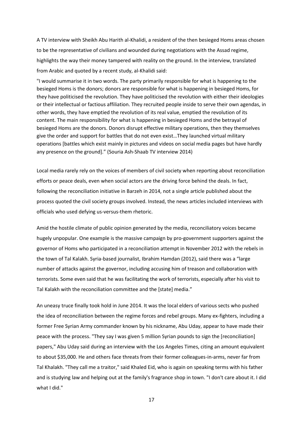A TV interview with Sheikh Abu Harith al‐Khalidi, a resident of the then besieged Homs areas chosen to be the representative of civilians and wounded during negotiations with the Assad regime, highlights the way their money tampered with reality on the ground. In the interview, translated from Arabic and quoted by a recent study, al‐Khalidi said:

"I would summarise it in two words. The party primarily responsible for what is happening to the besieged Homs is the donors; donors are responsible for what is happening in besieged Homs, for they have politicised the revolution. They have politicised the revolution with either their ideologies or their intellectual or factious affiliation. They recruited people inside to serve their own agendas, in other words, they have emptied the revolution of its real value, emptied the revolution of its content. The main responsibility for what is happening in besieged Homs and the betrayal of besieged Homs are the donors. Donors disrupt effective military operations, then they themselves give the order and support for battles that do not even exist…They launched virtual military operations [battles which exist mainly in pictures and videos on social media pages but have hardly any presence on the ground]." (Souria Ash‐Shaab TV interview 2014)

Local media rarely rely on the voices of members of civil society when reporting about reconciliation efforts or peace deals, even when social actors are the driving force behind the deals. In fact, following the reconciliation initiative in Barzeh in 2014, not a single article published about the process quoted the civil society groups involved. Instead, the news articles included interviews with officials who used defying us-versus-them rhetoric.

Amid the hostile climate of public opinion generated by the media, reconciliatory voices became hugely unpopular. One example is the massive campaign by pro-government supporters against the governor of Homs who participated in a reconciliation attempt in November 2012 with the rebels in the town of Tal Kalakh. Syria-based journalist, Ibrahim Hamdan (2012), said there was a "large number of attacks against the governor, including accusing him of treason and collaboration with terrorists. Some even said that he was facilitating the work of terrorists, especially after his visit to Tal Kalakh with the reconciliation committee and the [state] media."

An uneasy truce finally took hold in June 2014. It was the local elders of various sects who pushed the idea of reconciliation between the regime forces and rebel groups. Many ex-fighters, including a former Free Syrian Army commander known by his nickname, Abu Uday, appear to have made their peace with the process. "They say I was given 5 million Syrian pounds to sign the [reconciliation] papers," Abu Uday said during an interview with the Los Angeles Times, citing an amount equivalent to about \$35,000. He and others face threats from their former colleagues-in-arms, never far from Tal Khalakh. "They call me a traitor," said Khaled Eid, who is again on speaking terms with his father and is studying law and helping out at the family's fragrance shop in town. "I don't care about it. I did what I did."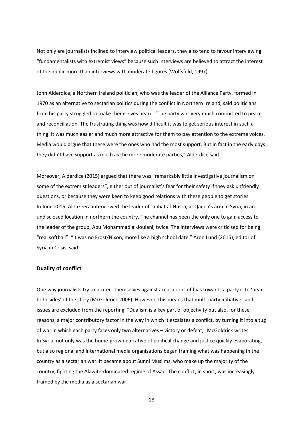Not only are journalists inclined to interview political leaders, they also tend to favour interviewing "fundamentalists with extremist views" because such interviews are believed to attract the interest of the public more than interviews with moderate figures (Wolfsfeld, 1997).

John Alderdice, a Northern Ireland politician, who was the leader of the Alliance Party, formed in 1970 as an alternative to sectarian politics during the conflict in Northern Ireland, said politicians from his party struggled to make themselves heard. "The party was very much committed to peace and reconciliation. The frustrating thing was how difficult it was to get serious interest in such a thing. It was much easier and much more attractive for them to pay attention to the extreme voices. Media would argue that these were the ones who had the most support. But in fact in the early days they didn't have support as much as the more moderate parties," Alderdice said.

Moreover, Alderdice (2015) argued that there was "remarkably little investigative journalism on some of the extremist leaders", either out of journalist's fear for their safety if they ask unfriendly questions, or because they were keen to keep good relations with these people to get stories. In June 2015, Al Jazeera interviewed the leader of Jabhat al-Nusra, al-Qaeda's arm in Syria, in an undisclosed location in northern the country. The channel has been the only one to gain access to the leader of the group, Abu Mohammad al-Joulani, twice. The interviews were criticised for being "real softball". "It was no Frost/Nixon, more like a high school date," Aron Lund (2015), editor of Syria in Crisis, said.

#### **Duality of conflict**

One way journalists try to protect themselves against accusations of bias towards a party is to 'hear both sides' of the story (McGoldrick 2006). However, this means that multi-party initiatives and issues are excluded from the reporting. "Dualism is a key part of objectivity but also, for these reasons, a major contributory factor in the way in which it escalates a conflict, by turning it into a tug of war in which each party faces only two alternatives – victory or defeat," McGoldrick writes. In Syria, not only was the home-grown narrative of political change and justice quickly evaporating, but also regional and international media organisations began framing what was happening in the country as a sectarian war. It became about Sunni Muslims, who make up the majority of the country, fighting the Alawite-dominated regime of Assad. The conflict, in short, was increasingly framed by the media as a sectarian war.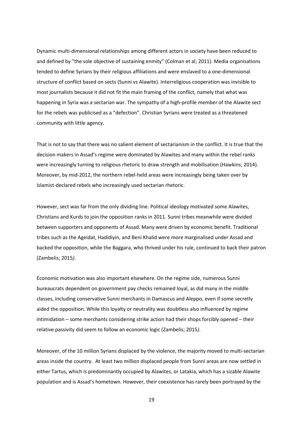Dynamic multi-dimensional relationships among different actors in society have been reduced to and defined by "the sole objective of sustaining enmity" (Colman et al; 2011). Media organisations tended to define Syrians by their religious affiliations and were enslaved to a one-dimensional structure of conflict based on sects (Sunni vs Alawite). Interreligious cooperation was invisible to most journalists because it did not fit the main framing of the conflict, namely that what was happening in Syria was a sectarian war. The sympathy of a high-profile member of the Alawite sect for the rebels was publicised as a "defection". Christian Syrians were treated as a threatened community with little agency.

That is not to say that there was no salient element of sectarianism in the conflict. It is true that the decision makers in Assad's regime were dominated by Alawites and many within the rebel ranks were increasingly turning to religious rhetoric to draw strength and mobilisation (Hawkins; 2014). Moreover, by mid-2012, the northern rebel-held areas were increasingly being taken over by Islamist-declared rebels who increasingly used sectarian rhetoric.

However, sect was far from the only dividing line. Political ideology motivated some Alawites, Christians and Kurds to join the opposition ranks in 2011. Sunni tribes meanwhile were divided between supporters and opponents of Assad. Many were driven by economic benefit. Traditional tribes such as the Ageidat, Hadidiyin, and Beni Khalid were more marginalised under Assad and backed the opposition, while the Baggara, who thrived under his rule, continued to back their patron (Zambelis; 2015*)*.

Economic motivation was also important elsewhere. On the regime side, numerous Sunni bureaucrats dependent on government pay checks remained loyal, as did many in the middle classes, including conservative Sunni merchants in Damascus and Aleppo, even if some secretly aided the opposition. While this loyalty or neutrality was doubtless also influenced by regime intimidation – some merchants considering strike action had their shops forcibly opened – their relative passivity did seem to follow an economic logic (Zambelis; 2015*)*.

Moreover, of the 10 million Syrians displaced by the violence, the majority moved to multi-sectarian areas inside the country. At least two million displaced people from Sunni areas are now settled in either Tartus, which is predominantly occupied by Alawites, or Latakia, which has a sizable Alawite population and is Assad's hometown. However, their coexistence has rarely been portrayed by the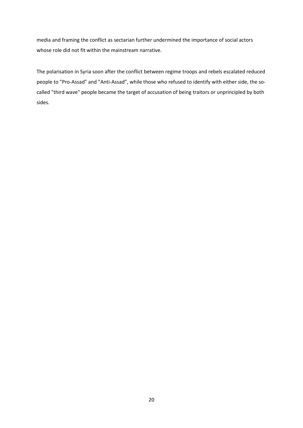media and framing the conflict as sectarian further undermined the importance of social actors whose role did not fit within the mainstream narrative.

The polarisation in Syria soon after the conflict between regime troops and rebels escalated reduced people to "Pro-Assad" and "Anti-Assad", while those who refused to identify with either side, the socalled "third wave" people became the target of accusation of being traitors or unprincipled by both sides.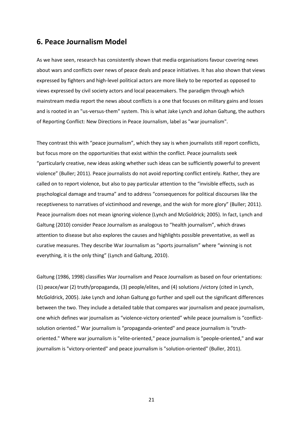### **6. Peace Journalism Model**

As we have seen, research has consistently shown that media organisations favour covering news about wars and conflicts over news of peace deals and peace initiatives. It has also shown that views expressed by fighters and high-level political actors are more likely to be reported as opposed to views expressed by civil society actors and local peacemakers. The paradigm through which mainstream media report the news about conflicts is a one that focuses on military gains and losses and is rooted in an "us-versus-them" system. This is what Jake Lynch and Johan Galtung, the authors of Reporting Conflict: New Directions in Peace Journalism, label as "war journalism".

They contrast this with "peace journalism", which they say is when journalists still report conflicts, but focus more on the opportunities that exist within the conflict. Peace journalists seek "particularly creative, new ideas asking whether such ideas can be sufficiently powerful to prevent violence" (Buller; 2011). Peace journalists do not avoid reporting conflict entirely. Rather, they are called on to report violence, but also to pay particular attention to the "invisible effects, such as psychological damage and trauma" and to address "consequences for political discourses like the receptiveness to narratives of victimhood and revenge, and the wish for more glory" (Buller; 2011). Peace journalism does not mean ignoring violence (Lynch and McGoldrick; 2005). In fact, Lynch and Galtung (2010) consider Peace Journalism as analogous to "health journalism", which draws attention to disease but also explores the causes and highlights possible preventative, as well as curative measures. They describe War Journalism as "sports journalism" where "winning is not everything, it is the only thing" (Lynch and Galtung, 2010).

Galtung (1986, 1998) classifies War Journalism and Peace Journalism as based on four orientations: (1) peace/war (2) truth/propaganda, (3) people/elites, and (4) solutions /victory (cited in Lynch, McGoldrick, 2005). Jake Lynch and Johan Galtung go further and spell out the significant differences between the two. They include a detailed table that compares war journalism and peace journalism, one which defines war journalism as "violence-victory oriented" while peace journalism is "conflictsolution oriented." War journalism is "propaganda-oriented" and peace journalism is "truthoriented." Where war journalism is "elite-oriented," peace journalism is "people-oriented," and war journalism is "victory-oriented" and peace journalism is "solution-oriented" (Buller, 2011).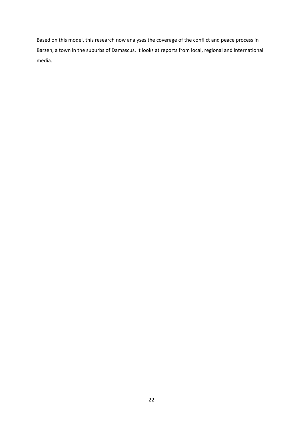Based on this model, this research now analyses the coverage of the conflict and peace process in Barzeh, a town in the suburbs of Damascus. It looks at reports from local, regional and international media.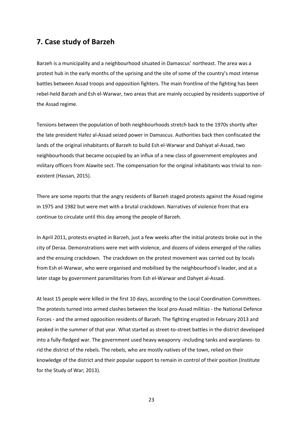## **7. Case study of Barzeh**

Barzeh is a municipality and a neighbourhood situated in Damascus' northeast. The area was a protest hub in the early months of the uprising and the site of some of the country's most intense battles between Assad troops and opposition fighters. The main frontline of the fighting has been rebel-held Barzeh and Esh el-Warwar, two areas that are mainly occupied by residents supportive of the Assad regime.

Tensions between the population of both neighbourhoods stretch back to the 1970s shortly after the late president Hafez al-Assad seized power in Damascus. Authorities back then confiscated the lands of the original inhabitants of Barzeh to build Esh el-Warwar and Dahiyat al-Assad, two neighbourhoods that became occupied by an influx of a new class of government employees and military officers from Alawite sect. The compensation for the original inhabitants was trivial to nonexistent (Hassan, 2015).

There are some reports that the angry residents of Barzeh staged protests against the Assad regime in 1975 and 1982 but were met with a brutal crackdown. Narratives of violence from that era continue to circulate until this day among the people of Barzeh.

In April 2011, protests erupted in Barzeh, just a few weeks after the initial protests broke out in the city of Deraa. Demonstrations were met with violence, and dozens of videos emerged of the rallies and the ensuing crackdown. The crackdown on the protest movement was carried out by locals from Esh el-Warwar, who were organised and mobilised by the neighbourhood's leader, and at a later stage by government paramilitaries from Esh el-Warwar and Dahyet al‐Assad.

At least 15 people were killed in the first 10 days, according to the Local Coordination Committees. The protests turned into armed clashes between the local pro-Assad militias - the National Defence Forces - and the armed opposition residents of Barzeh. The fighting erupted in February 2013 and peaked in the summer of that year. What started as street-to-street battles in the district developed into a fully-fledged war. The government used heavy weaponry -including tanks and warplanes- to rid the district of the rebels. The rebels, who are mostly natives of the town, relied on their knowledge of the district and their popular support to remain in control of their position (Institute for the Study of War; 2013).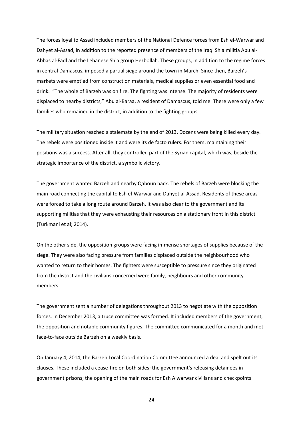The forces loyal to Assad included members of the National Defence forces from Esh el-Warwar and Dahyet al‐Assad, in addition to the reported presence of members of the Iraqi Shia militia Abu al-Abbas al-Fadl and the Lebanese Shia group Hezbollah. These groups, in addition to the regime forces in central Damascus, imposed a partial siege around the town in March. Since then, Barzeh's markets were emptied from construction materials, medical supplies or even essential food and drink. "The whole of Barzeh was on fire. The fighting was intense. The majority of residents were displaced to nearby districts," Abu al-Baraa, a resident of Damascus, told me. There were only a few families who remained in the district, in addition to the fighting groups.

The military situation reached a stalemate by the end of 2013. Dozens were being killed every day. The rebels were positioned inside it and were its de facto rulers. For them, maintaining their positions was a success. After all, they controlled part of the Syrian capital, which was, beside the strategic importance of the district, a symbolic victory.

The government wanted Barzeh and nearby Qaboun back. The rebels of Barzeh were blocking the main road connecting the capital to Esh el-Warwar and Dahyet al‐Assad. Residents of these areas were forced to take a long route around Barzeh. It was also clear to the government and its supporting militias that they were exhausting their resources on a stationary front in this district (Turkmani et al; 2014).

On the other side, the opposition groups were facing immense shortages of supplies because of the siege. They were also facing pressure from families displaced outside the neighbourhood who wanted to return to their homes. The fighters were susceptible to pressure since they originated from the district and the civilians concerned were family, neighbours and other community members.

The government sent a number of delegations throughout 2013 to negotiate with the opposition forces. In December 2013, a truce committee was formed. It included members of the government, the opposition and notable community figures. The committee communicated for a month and met face-to-face outside Barzeh on a weekly basis.

On January 4, 2014, the Barzeh Local Coordination Committee announced a deal and spelt out its clauses. These included a cease-fire on both sides; the government's releasing detainees in government prisons; the opening of the main roads for Esh Alwarwar civilians and checkpoints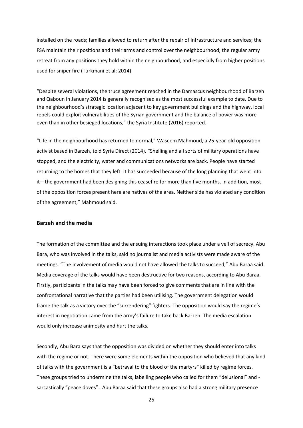installed on the roads; families allowed to return after the repair of infrastructure and services; the FSA maintain their positions and their arms and control over the neighbourhood; the regular army retreat from any positions they hold within the neighbourhood, and especially from higher positions used for sniper fire (Turkmani et al; 2014).

"Despite several violations, the truce agreement reached in the Damascus neighbourhood of Barzeh and Qaboun in January 2014 is generally recognised as the most successful example to date. Due to the neighbourhood's strategic location adjacent to key government buildings and the highway, local rebels could exploit vulnerabilities of the Syrian government and the balance of power was more even than in other besieged locations," the Syria Institute (2016) reported.

"Life in the neighbourhood has returned to normal," Waseem Mahmoud, a 25-year-old opposition activist based in Barzeh, told Syria Direct (2014). *"*Shelling and all sorts of military operations have stopped, and the electricity, water and communications networks are back. People have started returning to the homes that they left. It has succeeded because of the long planning that went into it—the government had been designing this ceasefire for more than five months. In addition, most of the opposition forces present here are natives of the area. Neither side has violated any condition of the agreement," Mahmoud said.

#### **Barzeh and the media**

The formation of the committee and the ensuing interactions took place under a veil of secrecy. Abu Bara, who was involved in the talks, said no journalist and media activists were made aware of the meetings. "The involvement of media would not have allowed the talks to succeed," Abu Baraa said. Media coverage of the talks would have been destructive for two reasons, according to Abu Baraa. Firstly, participants in the talks may have been forced to give comments that are in line with the confrontational narrative that the parties had been utilising. The government delegation would frame the talk as a victory over the "surrendering" fighters. The opposition would say the regime's interest in negotiation came from the army's failure to take back Barzeh. The media escalation would only increase animosity and hurt the talks.

Secondly, Abu Bara says that the opposition was divided on whether they should enter into talks with the regime or not. There were some elements within the opposition who believed that any kind of talks with the government is a "betrayal to the blood of the martyrs" killed by regime forces. These groups tried to undermine the talks, labelling people who called for them "delusional" and sarcastically "peace doves". Abu Baraa said that these groups also had a strong military presence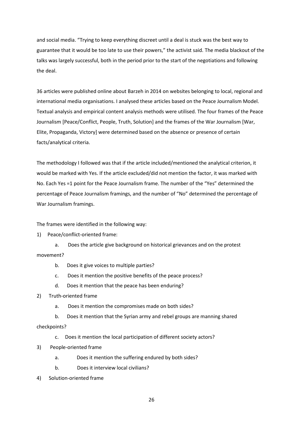and social media. "Trying to keep everything discreet until a deal is stuck was the best way to guarantee that it would be too late to use their powers," the activist said. The media blackout of the talks was largely successful, both in the period prior to the start of the negotiations and following the deal.

36 articles were published online about Barzeh in 2014 on websites belonging to local, regional and international media organisations. I analysed these articles based on the Peace Journalism Model. Textual analysis and empirical content analysis methods were utilised. The four frames of the Peace Journalism [Peace/Conflict, People, Truth, Solution] and the frames of the War Journalism [War, Elite, Propaganda, Victory] were determined based on the absence or presence of certain facts/analytical criteria.

The methodology I followed was that if the article included/mentioned the analytical criterion, it would be marked with Yes. If the article excluded/did not mention the factor, it was marked with No. Each Yes =1 point for the Peace Journalism frame. The number of the "Yes" determined the percentage of Peace Journalism framings, and the number of "No" determined the percentage of War Journalism framings.

The frames were identified in the following way:

1) Peace/conflict-oriented frame:

a. Does the article give background on historical grievances and on the protest movement?

- b. Does it give voices to multiple parties?
- c. Does it mention the positive benefits of the peace process?
- d. Does it mention that the peace has been enduring?
- 2) Truth-oriented frame
	- a. Does it mention the compromises made on both sides?

b. Does it mention that the Syrian army and rebel groups are manning shared checkpoints?

- c. Does it mention the local participation of different society actors?
- 3) People-oriented frame
	- a. Does it mention the suffering endured by both sides?
	- b. Does it interview local civilians?
- 4) Solution-oriented frame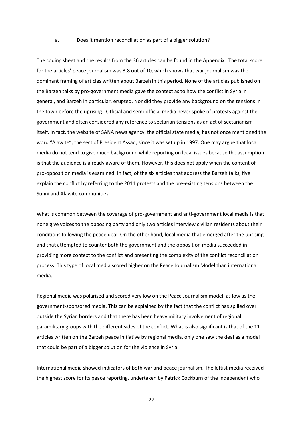#### a. Does it mention reconciliation as part of a bigger solution?

The coding sheet and the results from the 36 articles can be found in the Appendix. The total score for the articles' peace journalism was 3.8 out of 10, which shows that war journalism was the dominant framing of articles written about Barzeh in this period. None of the articles published on the Barzeh talks by pro-government media gave the context as to how the conflict in Syria in general, and Barzeh in particular, erupted. Nor did they provide any background on the tensions in the town before the uprising. Official and semi-official media never spoke of protests against the government and often considered any reference to sectarian tensions as an act of sectarianism itself. In fact, the website of SANA news agency, the official state media, has not once mentioned the word "Alawite", the sect of President Assad, since it was set up in 1997. One may argue that local media do not tend to give much background while reporting on local issues because the assumption is that the audience is already aware of them. However, this does not apply when the content of pro-opposition media is examined. In fact, of the six articles that address the Barzeh talks, five explain the conflict by referring to the 2011 protests and the pre-existing tensions between the Sunni and Alawite communities.

What is common between the coverage of pro-government and anti-government local media is that none give voices to the opposing party and only two articles interview civilian residents about their conditions following the peace deal. On the other hand, local media that emerged after the uprising and that attempted to counter both the government and the opposition media succeeded in providing more context to the conflict and presenting the complexity of the conflict reconciliation process. This type of local media scored higher on the Peace Journalism Model than international media.

Regional media was polarised and scored very low on the Peace Journalism model, as low as the government-sponsored media. This can be explained by the fact that the conflict has spilled over outside the Syrian borders and that there has been heavy military involvement of regional paramilitary groups with the different sides of the conflict. What is also significant is that of the 11 articles written on the Barzeh peace initiative by regional media, only one saw the deal as a model that could be part of a bigger solution for the violence in Syria.

International media showed indicators of both war and peace journalism. The leftist media received the highest score for its peace reporting, undertaken by Patrick Cockburn of the Independent who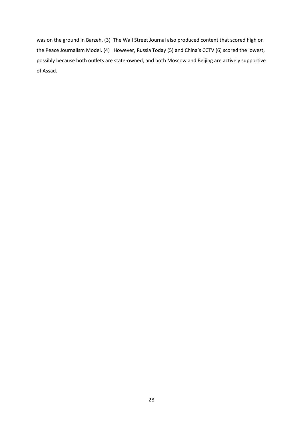was on the ground in Barzeh. (3) The Wall Street Journal also produced content that scored high on the Peace Journalism Model. (4) However, Russia Today (5) and China's CCTV (6) scored the lowest, possibly because both outlets are state-owned, and both Moscow and Beijing are actively supportive of Assad.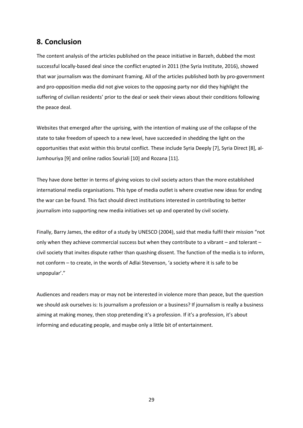# **8. Conclusion**

The content analysis of the articles published on the peace initiative in Barzeh, dubbed the most successful locally-based deal since the conflict erupted in 2011 (the Syria Institute, 2016), showed that war journalism was the dominant framing. All of the articles published both by pro-government and pro-opposition media did not give voices to the opposing party nor did they highlight the suffering of civilian residents' prior to the deal or seek their views about their conditions following the peace deal.

Websites that emerged after the uprising, with the intention of making use of the collapse of the state to take freedom of speech to a new level, have succeeded in shedding the light on the opportunities that exist within this brutal conflict. These include Syria Deeply [7], Syria Direct [8], al-Jumhouriya [9] and online radios Souriali [10] and Rozana [11].

They have done better in terms of giving voices to civil society actors than the more established international media organisations. This type of media outlet is where creative new ideas for ending the war can be found. This fact should direct institutions interested in contributing to better journalism into supporting new media initiatives set up and operated by civil society.

Finally, Barry James, the editor of a study by UNESCO (2004), said that media fulfil their mission "not only when they achieve commercial success but when they contribute to a vibrant – and tolerant – civil society that invites dispute rather than quashing dissent. The function of the media is to inform, not conform – to create, in the words of Adlai Stevenson, 'a society where it is safe to be unpopular'."

Audiences and readers may or may not be interested in violence more than peace, but the question we should ask ourselves is: Is journalism a profession or a business? If journalism is really a business aiming at making money, then stop pretending it's a profession. If it's a profession, it's about informing and educating people, and maybe only a little bit of entertainment.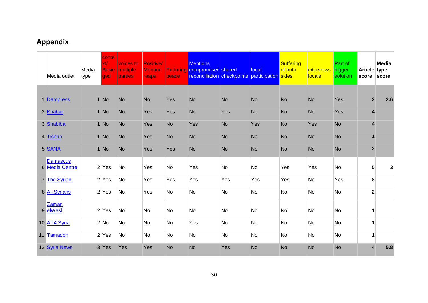# **Appendix**

| Media outlet                      | Media<br>type | conte<br>xt/<br><b>Besie</b><br>ged | voices to<br>multiple<br><b>parties</b> | Positive/<br><b>Mention</b><br>reaps | peace     | <b>Mentions</b><br><b>Enduring compromise/</b> shared<br>reconciliation checkpoints |           | local<br>participation sides | <b>Suffering</b><br>of both | <i>interviews</i><br><b>locals</b> | Part of<br>bigger<br>solution | Article type<br>score   | Media<br>score |
|-----------------------------------|---------------|-------------------------------------|-----------------------------------------|--------------------------------------|-----------|-------------------------------------------------------------------------------------|-----------|------------------------------|-----------------------------|------------------------------------|-------------------------------|-------------------------|----------------|
|                                   |               |                                     |                                         |                                      |           |                                                                                     |           |                              |                             |                                    |                               |                         |                |
| 1 Dampress                        |               | 1 No                                | <b>No</b>                               | <b>No</b>                            | Yes       | <b>No</b>                                                                           | <b>No</b> | <b>No</b>                    | <b>No</b>                   | <b>No</b>                          | Yes                           | $\overline{2}$          | 2.6            |
| 2 Khabar                          |               | 1 No                                | <b>No</b>                               | Yes                                  | Yes       | <b>No</b>                                                                           | Yes       | <b>No</b>                    | <b>No</b>                   | <b>No</b>                          | Yes                           | 4                       |                |
| 3 Shabiba                         |               | 1 No                                | <b>No</b>                               | Yes                                  | <b>No</b> | Yes                                                                                 | <b>No</b> | Yes                          | <b>No</b>                   | Yes                                | <b>No</b>                     | 4                       |                |
| 4 Tishrin                         |               | 1 No                                | <b>No</b>                               | Yes                                  | <b>No</b> | <b>No</b>                                                                           | <b>No</b> | <b>No</b>                    | <b>No</b>                   | <b>No</b>                          | <b>No</b>                     | $\mathbf{1}$            |                |
| 5 SANA                            |               | 1 No                                | <b>No</b>                               | Yes                                  | Yes       | <b>No</b>                                                                           | <b>No</b> | <b>No</b>                    | <b>No</b>                   | <b>No</b>                          | <b>No</b>                     | $\overline{\mathbf{2}}$ |                |
| <b>Damascus</b><br>6 Media Centre |               | $2$ Yes                             | No                                      | Yes                                  | <b>No</b> | Yes                                                                                 | <b>No</b> | No                           | Yes                         | Yes                                | <b>No</b>                     | 5                       | 3              |
| 7 The Syrian                      |               | $2$ Yes                             | <b>No</b>                               | Yes                                  | Yes       | Yes                                                                                 | Yes       | Yes                          | Yes                         | No                                 | Yes                           | 8                       |                |
| 8 All Syrians                     |               | $2$ Yes                             | No                                      | Yes                                  | <b>No</b> | No                                                                                  | <b>No</b> | <b>No</b>                    | No                          | <b>No</b>                          | <b>No</b>                     | $\mathbf{2}$            |                |
| Zaman<br>9 elWasl                 |               | $2$ Yes                             | <b>No</b>                               | <b>No</b>                            | <b>No</b> | No                                                                                  | <b>No</b> | No                           | No                          | No                                 | <b>No</b>                     | 1                       |                |
| 10 All 4 Syria                    |               | 2 No                                | <b>No</b>                               | <b>No</b>                            | <b>No</b> | Yes                                                                                 | No        | No                           | No                          | No                                 | <b>No</b>                     | $\mathbf{1}$            |                |
| 11 Tamadon                        |               | $2$ Yes                             | <b>No</b>                               | No                                   | <b>No</b> | No                                                                                  | <b>No</b> | No                           | No                          | <b>No</b>                          | <b>No</b>                     | $\mathbf{1}$            |                |
| 12 Syria News                     |               | 3 Yes                               | Yes                                     | Yes                                  | <b>No</b> | <b>No</b>                                                                           | Yes       | <b>No</b>                    | <b>No</b>                   | <b>No</b>                          | <b>No</b>                     | 4                       | 5.8            |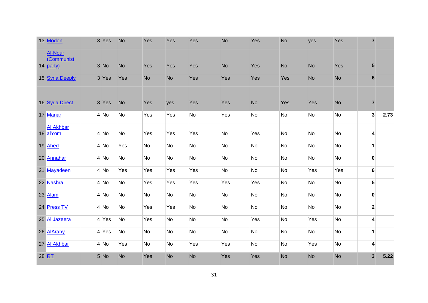| 13 Modon                                  | 3 Yes   | <b>No</b> | Yes       | Yes       | Yes       | <b>No</b> | Yes       | <b>No</b> | yes       | Yes       | $\overline{7}$          |      |
|-------------------------------------------|---------|-----------|-----------|-----------|-----------|-----------|-----------|-----------|-----------|-----------|-------------------------|------|
| <b>Al-Nour</b><br>(Communist<br>14 party) | 3 No    | No        | Yes       | Yes       | Yes       | No        | Yes       | <b>No</b> | <b>No</b> | Yes       | ${\bf 5}$               |      |
| 15 Syria Deeply                           | 3 Yes   | Yes       | <b>No</b> | No        | Yes       | Yes       | Yes       | Yes       | <b>No</b> | <b>No</b> | $\bf 6$                 |      |
| 16 Syria Direct                           | 3 Yes   | <b>No</b> | Yes       | yes       | Yes       | Yes       | <b>No</b> | Yes       | Yes       | <b>No</b> | $\overline{7}$          |      |
| 17 Manar                                  | 4 No    | No        | Yes       | Yes       | No        | Yes       | No        | No        | No        | No        | 3 <sup>1</sup>          | 2.73 |
| <b>Al Akhbar</b><br>18 alYom              | 4 No    | No        | Yes       | Yes       | Yes       | No        | Yes       | No        | No        | <b>No</b> | $\vert 4 \vert$         |      |
| 19 Ahed                                   | $4$ No  | Yes       | No        | <b>No</b> | No        | No        | No        | No        | No        | No        | $\mathbf{1}$            |      |
| 20 Annahar                                | $4$ No  | No        | No        | No        | No        | No        | No        | No        | No        | <b>No</b> | $\mathbf{0}$            |      |
| 21 Mayadeen                               | 4 No    | Yes       | Yes       | Yes       | Yes       | No        | No        | No        | Yes       | Yes       | $6 \overline{6}$        |      |
| 22 Nashra                                 | $4$ No  | No        | Yes       | Yes       | Yes       | Yes       | Yes       | No        | No        | No        | 5 <sup>1</sup>          |      |
| 23 Alam                                   | $4$ No  | No        | No        | No        | No        | No        | No        | No        | No        | No        | $\mathbf 0$             |      |
| 24 Press TV                               | $4$ No  | No        | Yes       | Yes       | <b>No</b> | No        | No        | <b>No</b> | No        | <b>No</b> | $\mathbf{2}$            |      |
| 25 Al Jazeera                             | $4$ Yes | No        | Yes       | No        | No        | No        | Yes       | No        | Yes       | No        | $\vert 4 \vert$         |      |
| 26 AlAraby                                | $4$ Yes | No        | No        | <b>No</b> | No        | No        | No        | No        | No        | <b>No</b> | $\mathbf{1}$            |      |
| 27 Al Akhbar                              | 4 No    | Yes       | No        | No        | Yes       | Yes       | No        | No        | Yes       | <b>No</b> | $\vert$ 4               |      |
| 28 RT                                     | 5 No    | No        | Yes       | No        | <b>No</b> | Yes       | Yes       | <b>No</b> | <b>No</b> | <b>No</b> | $\overline{\mathbf{3}}$ | 5.22 |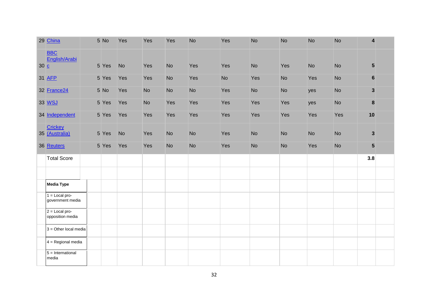|     | 29 China                             | 5 No  | Yes       | Yes       | Yes       | <b>No</b> | Yes       | <b>No</b> | <b>No</b> | <b>No</b> | <b>No</b> | 4               |  |
|-----|--------------------------------------|-------|-----------|-----------|-----------|-----------|-----------|-----------|-----------|-----------|-----------|-----------------|--|
| 30C | <b>BBC</b><br>English/Arabi          | 5 Yes | <b>No</b> | Yes       | <b>No</b> | Yes       | Yes       | <b>No</b> | Yes       | <b>No</b> | <b>No</b> | $5\phantom{.0}$ |  |
|     | 31 AFP                               | 5 Yes | Yes       | Yes       | <b>No</b> | Yes       | <b>No</b> | Yes       | <b>No</b> | Yes       | <b>No</b> | $\bf 6$         |  |
|     | 32 France24                          | 5 No  | Yes       | <b>No</b> | <b>No</b> | <b>No</b> | Yes       | <b>No</b> | <b>No</b> | yes       | <b>No</b> | $\mathbf{3}$    |  |
|     | 33 WSJ                               | 5 Yes | Yes       | <b>No</b> | Yes       | Yes       | Yes       | Yes       | Yes       | yes       | <b>No</b> | $\pmb{8}$       |  |
|     | 34 Independent                       | 5 Yes | Yes       | Yes       | Yes       | Yes       | Yes       | Yes       | Yes       | Yes       | Yes       | 10              |  |
|     | Crickey<br>35 (Australia)            | 5 Yes | <b>No</b> | Yes       | <b>No</b> | <b>No</b> | Yes       | <b>No</b> | <b>No</b> | <b>No</b> | <b>No</b> | $\mathbf{3}$    |  |
|     | 36 Reuters                           | 5 Yes | Yes       | Yes       | <b>No</b> | <b>No</b> | Yes       | <b>No</b> | <b>No</b> | Yes       | <b>No</b> | 5               |  |
|     | <b>Total Score</b>                   |       |           |           |           |           |           |           |           |           |           | 3.8             |  |
|     |                                      |       |           |           |           |           |           |           |           |           |           |                 |  |
|     |                                      |       |           |           |           |           |           |           |           |           |           |                 |  |
|     | <b>Media Type</b>                    |       |           |           |           |           |           |           |           |           |           |                 |  |
|     | $1 =$ Local pro-<br>government media |       |           |           |           |           |           |           |           |           |           |                 |  |
|     | $2 =$ Local pro-<br>opposition media |       |           |           |           |           |           |           |           |           |           |                 |  |
|     | $3$ = Other local media              |       |           |           |           |           |           |           |           |           |           |                 |  |
|     | $4 =$ Regional media                 |       |           |           |           |           |           |           |           |           |           |                 |  |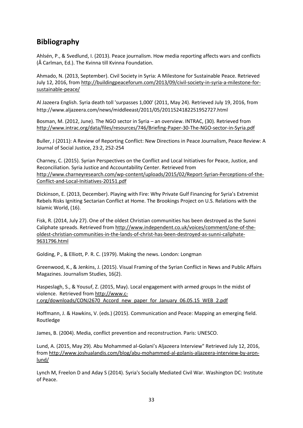# **Bibliography**

Ahlsén, P., & Svedlund, I. (2013). Peace journalism. How media reporting affects wars and conflicts (Å Carlman, Ed.). The Kvinna till Kvinna Foundation.

Ahmado, N. (2013, September). Civil Society in Syria: A Milestone for Sustainable Peace. Retrieved July 12, 2016, fro[m http://buildingpeaceforum.com/2013/09/civil-society-in-syria-a-milestone-for](http://buildingpeaceforum.com/2013/09/civil-society-in-syria-a-milestone-for-sustainable-peace/)[sustainable-peace/](http://buildingpeaceforum.com/2013/09/civil-society-in-syria-a-milestone-for-sustainable-peace/)

Al Jazeera English. Syria death toll 'surpasses 1,000' (2011, May 24). Retrieved July 19, 2016, from http://www.aljazeera.com/news/middleeast/2011/05/2011524182251952727.html

Bosman, M. (2012, June). The NGO sector in Syria – an overview. INTRAC, (30). Retrieved from <http://www.intrac.org/data/files/resources/746/Briefing-Paper-30-The-NGO-sector-in-Syria.pdf>

Buller, J (2011): A Review of Reporting Conflict: New Directions in Peace Journalism, Peace Review: A Journal of Social Justice, 23:2, 252-254

Charney, C. (2015). Syrian Perspectives on the Conflict and Local Initiatives for Peace, Justice, and Reconciliation. Syria Justice and Accountability Center. Retrieved from [http://www.charneyresearch.com/wp-content/uploads/2015/02/Report-Syrian-Perceptions-of-the-](http://www.charneyresearch.com/wp-content/uploads/2015/02/Report-Syrian-Perceptions-of-the-Conflict-and-Local-Initiatives-20151.pdf)[Conflict-and-Local-Initiatives-20151.pdf](http://www.charneyresearch.com/wp-content/uploads/2015/02/Report-Syrian-Perceptions-of-the-Conflict-and-Local-Initiatives-20151.pdf)

Dickinson, E. (2013, December). Playing with Fire: Why Private Gulf Financing for Syria's Extremist Rebels Risks Igniting Sectarian Conflict at Home. The Brookings Project on U.S. Relations with the Islamic World, (16).

Fisk, R. (2014, July 27). One of the oldest Christian communities has been destroyed as the Sunni Caliphate spreads. Retrieved fro[m http://www.independent.co.uk/voices/comment/one-of-the](http://www.independent.co.uk/voices/comment/one-of-the-oldest-christian-communities-in-the-lands-of-christ-has-been-destroyed-as-sunni-caliphate-9631796.html)[oldest-christian-communities-in-the-lands-of-christ-has-been-destroyed-as-sunni-caliphate-](http://www.independent.co.uk/voices/comment/one-of-the-oldest-christian-communities-in-the-lands-of-christ-has-been-destroyed-as-sunni-caliphate-9631796.html)[9631796.html](http://www.independent.co.uk/voices/comment/one-of-the-oldest-christian-communities-in-the-lands-of-christ-has-been-destroyed-as-sunni-caliphate-9631796.html)

Golding, P., & Elliott, P. R. C. (1979). Making the news. London: Longman

Greenwood, K., & Jenkins, J. (2015). Visual Framing of the Syrian Conflict in News and Public Affairs Magazines. Journalism Studies, 16(2).

Haspeslagh, S., & Yousuf, Z. (2015, May). Local engagement with armed groups In the midst of violence. Retrieved from [http://www.c](http://www.c-r.org/downloads/CONJ2670_Accord_new_paper_for_January_06.05.15_WEB_2.pdf)[r.org/downloads/CONJ2670\\_Accord\\_new\\_paper\\_for\\_January\\_06.05.15\\_WEB\\_2.pdf](http://www.c-r.org/downloads/CONJ2670_Accord_new_paper_for_January_06.05.15_WEB_2.pdf)

Hoffmann, J. & Hawkins, V. (eds.) (2015). Communication and Peace: Mapping an emerging field. Routledge

James, B. (2004). Media, conflict prevention and reconstruction. Paris: UNESCO.

Lund, A. (2015, May 29). Abu Mohammed al-Golani's Aljazeera Interview" Retrieved July 12, 2016, from [http://www.joshualandis.com/blog/abu-mohammed-al-golanis-aljazeera-interview-by-aron](http://www.joshualandis.com/blog/abu-mohammed-al-golanis-aljazeera-interview-by-aron-lund/)[lund/](http://www.joshualandis.com/blog/abu-mohammed-al-golanis-aljazeera-interview-by-aron-lund/)

Lynch M, Freelon D and Aday S (2014). Syria's Socially Mediated Civil War. Washington DC: Institute of Peace.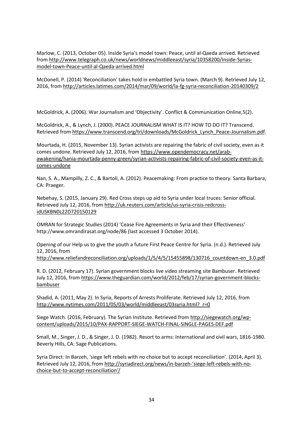Marlow, C. (2013, October 05). Inside Syria's model town: Peace, until al-Qaeda arrived. Retrieved from [http://www.telegraph.co.uk/news/worldnews/middleeast/syria/10358200/Inside-Syrias](http://www.telegraph.co.uk/news/worldnews/middleeast/syria/10358200/Inside-Syrias-model-town-Peace-until-al-Qaeda-arrived.html)[model-town-Peace-until-al-Qaeda-arrived.html](http://www.telegraph.co.uk/news/worldnews/middleeast/syria/10358200/Inside-Syrias-model-town-Peace-until-al-Qaeda-arrived.html)

McDonell, P. (2014) 'Reconciliation' takes hold in embattled Syria town. (March 9). Retrieved July 12, 2016, from<http://articles.latimes.com/2014/mar/09/world/la-fg-syria-reconciliation-20140309/2>

McGoldrick, A. (2006). War Journalism and 'Objectivity'. Conflict & Communication Online,5(2).

McGoldrick, A., & Lynch, J. (2000). PEACE JOURNALISM WHAT IS IT? HOW TO DO IT? Transcend. Retrieved from [https://www.transcend.org/tri/downloads/McGoldrick\\_Lynch\\_Peace-Journalism.pdf.](https://www.transcend.org/tri/downloads/McGoldrick_Lynch_Peace-Journalism.pdf)

Mourtada, H. (2015, November 13). Syrian activists are repairing the fabric of civil society, even as it comes undone. Retrieved July 12, 2016, from [https://www.opendemocracy.net/arab](https://www.opendemocracy.net/arab-awakening/hania-mourtada-penny-green/syrian-activists-repairing-fabric-of-civil-society-even-as-it-comes-undone)[awakening/hania-mourtada-penny-green/syrian-activists-repairing-fabric-of-civil-society-even-as-it](https://www.opendemocracy.net/arab-awakening/hania-mourtada-penny-green/syrian-activists-repairing-fabric-of-civil-society-even-as-it-comes-undone)[comes-undone](https://www.opendemocracy.net/arab-awakening/hania-mourtada-penny-green/syrian-activists-repairing-fabric-of-civil-society-even-as-it-comes-undone)

Nan, S. A., Mampilly, Z. C., & Bartoli, A. (2012). Peacemaking: From practice to theory. Santa Barbara, CA: Praeger.

Nebehay, S. (2015, January 29). Red Cross steps up aid to Syria under local truces: Senior official. Retrieved July 12, 2016, from [http://uk.reuters.com/article/us-syria-crisis-redcross](http://uk.reuters.com/article/us-syria-crisis-redcross-idUSKBN0L22D720150129)[idUSKBN0L22D720150129](http://uk.reuters.com/article/us-syria-crisis-redcross-idUSKBN0L22D720150129)

OMRAN for Strategic Studies (2014) 'Cease Fire Agreements in Syria and their Effectiveness' http://www.omrandirasat.org/node/86 (last accessed 3 October 2014).

Opening of our Help us to give the youth a future First Peace Centre for Syria. (n.d.). Retrieved July 12, 2016, from

[http://www.reliefandreconciliation.org/uploads/1/5/4/5/15455898/130716\\_countdown-en\\_3.0.pdf](http://www.reliefandreconciliation.org/uploads/1/5/4/5/15455898/130716_countdown-en_3.0.pdf)

R. D. (2012, February 17). Syrian government blocks live video streaming site Bambuser. Retrieved July 12, 2016, fro[m https://www.theguardian.com/world/2012/feb/17/syrian-government-blocks](https://www.theguardian.com/world/2012/feb/17/syrian-government-blocks-bambuser)[bambuser](https://www.theguardian.com/world/2012/feb/17/syrian-government-blocks-bambuser)

Shadid, A. (2011, May 2). In Syria, Reports of Arrests Proliferate. Retrieved July 12, 2016, from [http://www.nytimes.com/2011/05/03/world/middleeast/03syria.html?\\_r=0](http://www.nytimes.com/2011/05/03/world/middleeast/03syria.html?_r=0)

Siege Watch. (2016, February). The Syrian Institute. Retrieved from [http://siegewatch.org/wp](http://siegewatch.org/wp-content/uploads/2015/10/PAX-RAPPORT-SIEGE-WATCH-FINAL-SINGLE-PAGES-DEF.pdf)[content/uploads/2015/10/PAX-RAPPORT-SIEGE-WATCH-FINAL-SINGLE-PAGES-DEF.pdf](http://siegewatch.org/wp-content/uploads/2015/10/PAX-RAPPORT-SIEGE-WATCH-FINAL-SINGLE-PAGES-DEF.pdf)

Small, M., Singer, J. D., & Singer, J. D. (1982). Resort to arms: International and civil wars, 1816-1980. Beverly Hills, CA: Sage Publications.

Syria Direct: In Barzeh, 'siege left rebels with no choice but to accept reconciliation'. (2014, April 3). Retrieved July 12, 2016, from [http://syriadirect.org/news/in-barzeh-](http://syriadirect.org/news/in-barzeh-‘siege-left-rebels-with-no-choice-but-to-accept-reconciliation’/)'siege-left-rebels-with-no[choice-but-to-accept-](http://syriadirect.org/news/in-barzeh-‘siege-left-rebels-with-no-choice-but-to-accept-reconciliation’/)reconciliation'/